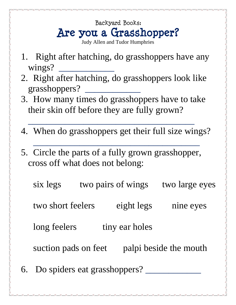## Backyard Books: **Are you a Grasshopper?**

- Judy Allen and Tudor Humphries
- 1. Right after hatching, do grasshoppers have any wings?
- 2. Right after hatching, do grasshoppers look like grasshoppers? \_\_\_\_\_\_\_\_\_\_\_\_
- 3. How many times do grasshoppers have to take their skin off before they are fully grown?

 $\overline{\phantom{a}}$  , and the contract of the contract of the contract of the contract of the contract of the contract of the contract of the contract of the contract of the contract of the contract of the contract of the contrac

4. When do grasshoppers get their full size wings?

 $\overline{\phantom{a}}$  , which is a set of the set of the set of the set of the set of the set of the set of the set of the set of the set of the set of the set of the set of the set of the set of the set of the set of the set of th

5. Circle the parts of a fully grown grasshopper, cross off what does not belong:

six legs two pairs of wings two large eyes two short feelers eight legs nine eyes long feelers tiny ear holes suction pads on feet palpi beside the mouth 6. Do spiders eat grasshoppers?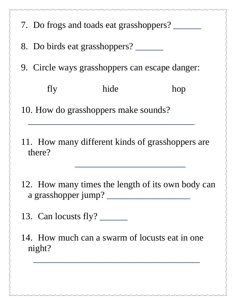|                                                | 7. Do frogs and toads eat grasshoppers? |      |     |  |
|------------------------------------------------|-----------------------------------------|------|-----|--|
|                                                | 8. Do birds eat grasshoppers?           |      |     |  |
| 9. Circle ways grasshoppers can escape danger: |                                         |      |     |  |
|                                                | fly                                     | hide | hop |  |
| 10. How do grasshoppers make sounds?           |                                         |      |     |  |

11. How many different kinds of grasshoppers are there?

 $\mathcal{L}_\text{max} = \frac{1}{2} \sum_{i=1}^n \frac{1}{2} \sum_{i=1}^n \frac{1}{2} \sum_{i=1}^n \frac{1}{2} \sum_{i=1}^n \frac{1}{2} \sum_{i=1}^n \frac{1}{2} \sum_{i=1}^n \frac{1}{2} \sum_{i=1}^n \frac{1}{2} \sum_{i=1}^n \frac{1}{2} \sum_{i=1}^n \frac{1}{2} \sum_{i=1}^n \frac{1}{2} \sum_{i=1}^n \frac{1}{2} \sum_{i=1}^n \frac{1}{2} \sum_{i=1}^n$ 

- 12. How many times the length of its own body can a grasshopper jump? \_\_\_\_\_\_\_\_\_\_\_\_\_\_\_\_\_\_
- 13. Can locusts fly? \_\_\_\_\_\_

14. How much can a swarm of locusts eat in one night?

 $\overline{\phantom{a}}$  , which is a set of the set of the set of the set of the set of the set of the set of the set of the set of the set of the set of the set of the set of the set of the set of the set of the set of the set of th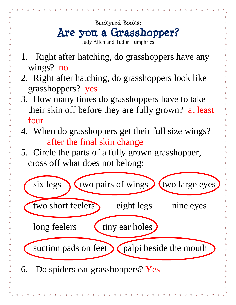## Backyard Books: **Are you a Grasshopper?**

- Judy Allen and Tudor Humphries
- 1. Right after hatching, do grasshoppers have any wings? no
- 2. Right after hatching, do grasshoppers look like grasshoppers? yes
- 3. How many times do grasshoppers have to take their skin off before they are fully grown? at least four
- 4. When do grasshoppers get their full size wings? after the final skin change
- 5. Circle the parts of a fully grown grasshopper, cross off what does not belong: